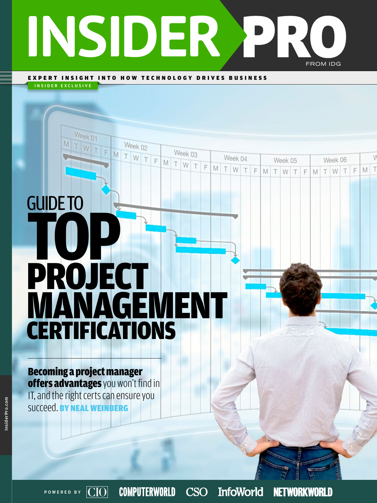# INSIDER PRO FROM IDG

Week 03

T F

MTW

Week 04

W T

F

M

M T

EXPERT INSIGHT INTO HOW TECHNOLOGY DRIVES BUSINESS

Week 02

MTWTF

INSIDER EXCLUSIVE

Week 01

F

# GUIDE TO **TO** PROJECT MANAGEMENT **CERTIFICATIONS**

Becoming a project manager offers advantages you won't find in IT, and the right certs can ensure you succeed. BY NEAL WEINBERG

POWERED BY  $|CIO|$ 

**COMPUTERWORLD** 

CSO InfoWorld

**NETWORKWORLD** 

V

M T

F

Week 06

TWT

Week 05

TWT

 $\mathbb{P}$  $M$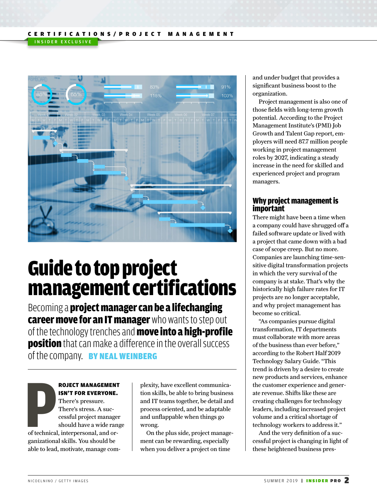

## Guide to top project management certifications

Becoming a **project manager can be a lifechanging** career move for an IT manager who wants to step out of the technology trenches and **move into a high-profile position** that can make a difference in the overall success of the company. BY NEAL WEINBERG

**P**<br>of technical<br>conjunctions ROJECT MANAGEMENT ISN'T FOR EVERYONE. There's pressure. There's stress. A successful project manager should have a wide range of technical, interpersonal, and organizational skills. You should be able to lead, motivate, manage com-

plexity, have excellent communication skills, be able to bring business and IT teams together, be detail and process oriented, and be adaptable and unflappable when things go wrong.

On the plus side, project management can be rewarding, especially when you deliver a project on time

and under budget that provides a significant business boost to the organization.

Project management is also one of those fields with long-term growth potential. According to the Project Management Institute's (PMI) Job Growth and Talent Gap report, employers will need 87.7 million people working in project management roles by 2027, indicating a steady increase in the need for skilled and experienced project and program managers.

#### Why project management is important

There might have been a time when a company could have shrugged off a failed software update or lived with a project that came down with a bad case of scope creep. But no more. Companies are launching time-sensitive digital transformation projects in which the very survival of the company is at stake. That's why the historically high failure rates for IT projects are no longer acceptable, and why project management has become so critical.

"As companies pursue digital transformation, IT departments must collaborate with more areas of the business than ever before," according to the Robert Half 2019 Technology Salary Guide. "This trend is driven by a desire to create new products and services, enhance the customer experience and generate revenue. Shifts like these are creating challenges for technology leaders, including increased project volume and a critical shortage of technology workers to address it."

And the very definition of a successful project is changing in light of these heightened business pres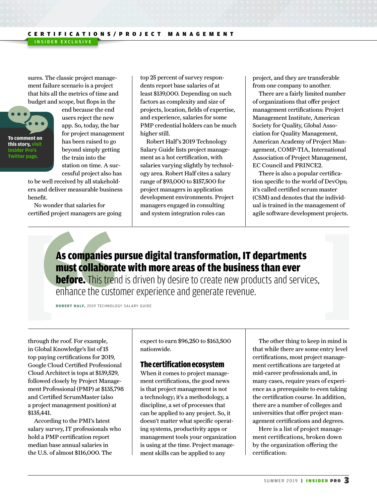sures. The classic project management failure scenario is a project that hits all the metrics of time and budget and scope, but flops in the

INSIDER EXCLUSIVE



end because the end users reject the new app. So, today, the bar for project management has been raised to go beyond simply getting the train into the station on time. A successful project also has

to be well received by all stakeholders and deliver measurable business benefit.

No wonder that salaries for certified project managers are going top 25 percent of survey respondents report base salaries of at least \$139,000. Depending on such factors as complexity and size of projects, location, fields of expertise, and experience, salaries for some PMP credential holders can be much higher still.

Robert Half's 2019 Technology Salary Guide lists project management as a hot certification, with salaries varying slightly by technology area. Robert Half cites a salary range of \$93,000 to \$157,500 for project managers in application development environments. Project managers engaged in consulting and system integration roles can

project, and they are transferable from one company to another.

There are a fairly limited number of organizations that offer project management certifications: Project Management Institute, American Society for Quality, Global Association for Quality Management, American Academy of Project Management, COMP-TIA, International Association of Project Management, EC Council and PRINCE2.

There is also a popular certification specific to the world of DevOps; it's called certified scrum master (CSM) and denotes that the individual is trained in the management of agile software development projects.

## As companies pursue digital transformation, IT departments must collaborate with more areas of the business than ever

**before.** This trend is driven by desire to create new products and services, enhance the customer experience and generate revenue.

ROBERT HALF, 2019 TECHNOLOGY SALARY GUIDE

through the roof. For example, in Global Knowledge's list of 15 top paying certifications for 2019, Google Cloud Certified Professional Cloud Architect is tops at \$139,529, followed closely by Project Management Professional (PMP) at \$135,798 and Certified ScrumMaster (also a project management position) at \$135,441.

According to the PMI's latest salary survey, IT professionals who hold a PMP certification report median base annual salaries in the U.S. of almost \$116,000. The

expect to earn \$96,250 to \$163,500 nationwide.

#### The certification ecosystem

When it comes to project management certifications, the good news is that project management is not a technology; it's a methodology, a discipline, a set of processes that can be applied to any project. So, it doesn't matter what specific operating systems, productivity apps or management tools your organization is using at the time. Project management skills can be applied to any

The other thing to keep in mind is that while there are some entry level certifications, most project management certifications are targeted at mid-career professionals and, in many cases, require years of experience as a prerequisite to even taking the certification course. In addition, there are a number of colleges and universities that offer project management certifications and degrees.

Here is a list of project management certifications, broken down by the organization offering the certification: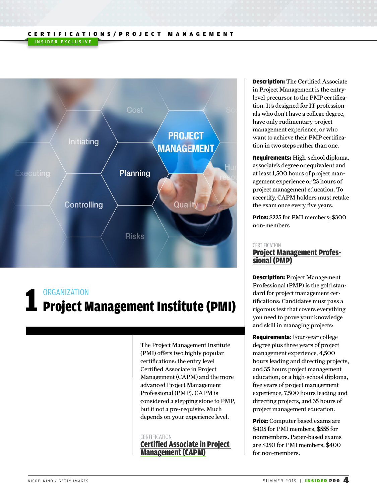#### CERTIFICATIONS/PROJECT MANAGEMENT INSIDER EXCLUSIVE



# **ORGANIZATION**<br>L Project Management Institute (PMI)

The Project Management Institute (PMI) offers two highly popular certifications: the entry level Certified Associate in Project Management (CAPM) and the more advanced Project Management Professional (PMP). CAPM is considered a stepping stone to PMP, but it not a pre-requisite. Much depends on your experience level.

#### CERTIFICATION [Certified Associate in Project](http://www.pmi.org/Certification/Certified-Associate-in-Project-Management-CAPM.aspx)  [Management \(CAPM\)](http://www.pmi.org/Certification/Certified-Associate-in-Project-Management-CAPM.aspx)

Description: The Certified Associate in Project Management is the entrylevel precursor to the PMP certification. It's designed for IT professionals who don't have a college degree, have only rudimentary project management experience, or who want to achieve their PMP certification in two steps rather than one.

Requirements: High-school diploma, associate's degree or equivalent and at least 1,500 hours of project management experience or 23 hours of project management education. To recertify, CAPM holders must retake the exam once every five years.

Price: \$225 for PMI members; \$300 non-members

#### CERTIFICATION

## [Project Management Profes-](http://www.pmi.org/Certification/Project-Management-Professional-PMP.aspx)<br>[sional \(PMP\)](http://www.pmi.org/Certification/Project-Management-Professional-PMP.aspx)

Description: Project Management Professional (PMP) is the gold standard for project management certifications: Candidates must pass a rigorous test that covers everything you need to prove your knowledge and skill in managing projects:

Requirements: Four-year college degree plus three years of project management experience, 4,500 hours leading and directing projects, and 35 hours project management education; or a high-school diploma, five years of project management experience, 7,500 hours leading and directing projects, and 35 hours of project management education.

Price: Computer based exams are \$405 for PMI members; \$555 for nonmembers. Paper-based exams are \$250 for PMI members; \$400 for non-members.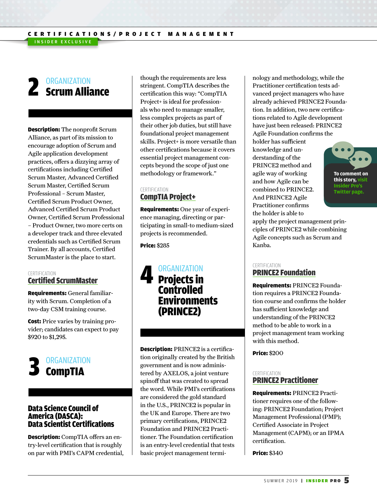## **ORGANIZATION 2** ORGANIZATION<br>**2 Scrum Alliance**

INSIDER EXCLUSIVE

Description: The nonprofit Scrum Alliance, as part of its mission to encourage adoption of Scrum and Agile application development practices, offers a dizzying array of certifications including Certified Scrum Master, Advanced Certified Scrum Master, Certified Scrum Professional – Scrum Master, Certified Scrum Product Owner, Advanced Certified Scrum Product Owner, Certified Scrum Professional – Product Owner, two more certs on a developer track and three elevated credentials such as Certified Scrum Trainer. By all accounts, Certified ScrumMaster is the place to start.

#### CERTIFICATION [Certified ScrumMaster](https://www.scrumalliance.org/certifications/practitioners/certified-scrummaster-csm)

Requirements: General familiarity with Scrum. Completion of a two-day CSM training course.

Cost: Price varies by training provider; candidates can expect to pay \$920 to \$1,295.



#### Data Science Council of America (DASCA): Data Scientist Certifications

Description: CompTIA offers an entry-level certification that is roughly on par with PMI's CAPM credential, though the requirements are less stringent. CompTIA describes the certification this way: "CompTIA Project+ is ideal for professionals who need to manage smaller, less complex projects as part of their other job duties, but still have foundational project management skills. Project+ is more versatile than other certifications because it covers essential project management concepts beyond the scope of just one methodology or framework."

#### CERTIFICATION [CompTIA Project+](https://certification.comptia.org/certifications/project)

Requirements: One year of experience managing, directing or participating in small-to medium-sized projects is recommended.

Price: \$285

**ORGANIZATION** Projects in **Controlled** Environments (PRINCE2) 4

Description: PRINCE2 is a certification originally created by the British government and is now administered by AXELOS, a joint venture spinoff that was created to spread the word. While PMI's certifications are considered the gold standard in the U.S., PRINCE2 is popular in the UK and Europe. There are two primary certifications, PRINCE2 Foundation and PRINCE2 Practitioner. The Foundation certification is an entry-level credential that tests basic project management terminology and methodology, while the Practitioner certification tests advanced project managers who have already achieved PRINCE2 Foundation. In addition, two new certifications related to Agile development have just been released: PRINCE2 Agile Foundation confirms the

holder has sufficient knowledge and understanding of the PRINCE2 method and agile way of working and how Agile can be combined to PRINCE2. And PRINCE2 Agile Practitioner confirms the holder is able to



apply the project management principles of PRINCE2 while combining Agile concepts such as Scrum and Kanba.

#### CERTIFICATION

#### [PRINCE2 Foundation](https://www.axelos.com/certifications/prince2/prince2-foundation-certification)

Requirements: PRINCE2 Foundation requires a PRINCE2 Foundation course and confirms the holder has sufficient knowledge and understanding of the PRINCE2 method to be able to work in a project management team working with this method.

Price: \$200

#### CERTIFICATION [PRINCE2 Practitioner](https://www.axelos.com/certifications/prince2/prince2-practitioner-certification)

Requirements: PRINCE2 Practitioner requires one of the following: PRINCE2 Foundation; Project Management Professional (PMP); Certified Associate in Project Management (CAPM); or an IPMA certification.

Price: \$340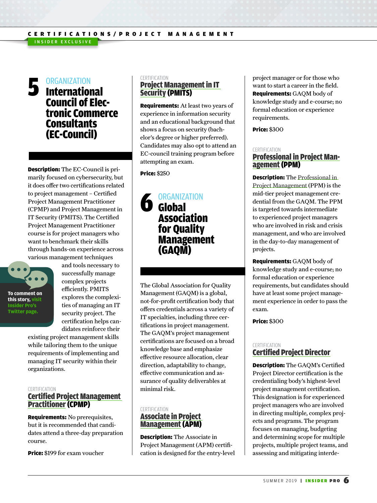## **ORGANIZATION 5** ORGANIZATION<br> **1** International Council of Elec- tronic Commerce **Consultants** (EC-Council)

Description: The EC-Council is primarily focused on cybersecurity, but it does offer two certifications related to project management – Certified Project Management Practitioner (CPMP) and Project Management in IT Security (PMITS). The Certified Project Management Practitioner course is for project managers who want to benchmark their skills through hands-on experience across various management techniques



and tools necessary to successfully manage complex projects efficiently. PMITS explores the complexities of managing an IT security project. The certification helps candidates reinforce their

existing project management skills while tailoring them to the unique requirements of implementing and managing IT security within their organizations.

#### **CERTIFICATION**

#### [Certified Project Management](https://www.eccouncil.org/i-business/certified-project-management-practitioner.html)  [Practitioner](https://www.eccouncil.org/i-business/certified-project-management-practitioner.html) (CPMP)

Requirements: No prerequisites, but it is recommended that candidates attend a three-day preparation course.

Price: \$199 for exam voucher

#### **CERTIFICATION** [Project Management in IT](http://www.eccouncil.org/Certification/e-business-certifications/project-management-in-it-security)  [Security](http://www.eccouncil.org/Certification/e-business-certifications/project-management-in-it-security) (PMITS)

Requirements: At least two years of experience in information security and an educational background that shows a focus on security (bachelor's degree or higher preferred). Candidates may also opt to attend an EC-council training program before attempting an exam.

#### Price: \$250

### ORGANIZATION **6** Global Association for Quality Management (GAQM)

The Global Association for Quality Management (GAQM) is a global, not-for-profit certification body that offers credentials across a variety of IT specialties, including three certifications in project management. The GAQM's project management certifications are focused on a broad knowledge base and emphasize effective resource allocation, clear direction, adaptability to change, effective communication and assurance of quality deliverables at minimal risk.

#### CERTIFICATION [Associate in Project](http://www.gaqm.org/associate-in-project-management)  [Management](http://www.gaqm.org/associate-in-project-management) (APM)

Description: The Associate in Project Management (APM) certification is designed for the entry-level project manager or for those who want to start a career in the field. Requirements: GAQM body of knowledge study and e-course; no formal education or experience requirements.

Price: \$300

#### CERTIFICATION

## [Professional in Project Man-](http://www.gaqm.org/professional-in-project-management) [agement](http://www.gaqm.org/professional-in-project-management) (PPM)

Description: The [Professional in](http://www.gaqm.org/professional-in-project-management)  [Project Management](http://www.gaqm.org/professional-in-project-management) (PPM) is the mid-tier project management credential from the GAQM. The PPM is targeted towards intermediate to experienced project managers who are involved in risk and crisis management, and who are involved in the day-to-day management of projects.

Requirements: GAQM body of knowledge study and e-course; no formal education or experience requirements, but candidates should have at least some project management experience in order to pass the exam.

Price: \$300

#### **CERTIFICATION** [Certified Project Director](http://www.gaqm.org/certified-project-director-cpd)

Description: The GAQM's Certified Project Director certification is the credentialing body's highest-level project management certification. This designation is for experienced project managers who are involved in directing multiple, complex projects and programs. The program focuses on managing, budgeting and determining scope for multiple projects, multiple project teams, and assessing and mitigating interde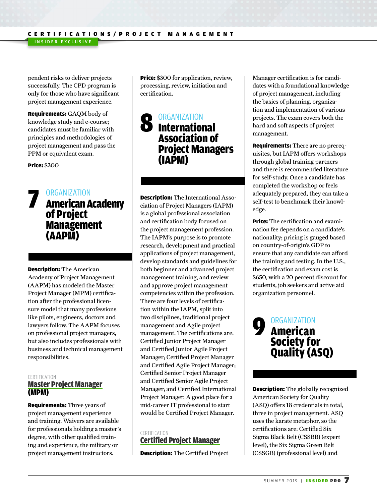pendent risks to deliver projects successfully. The CPD program is only for those who have significant project management experience.

INSIDER EXCLUSIVE

Requirements: GAQM body of knowledge study and e-course; candidates must be familiar with principles and methodologies of project management and pass the PPM or equivalent exam.

Price: \$300

### ORGANIZATION **7 ORGANIZATION<br>American Academy** of Project Management (AAPM)

Description: The American Academy of Project Management (AAPM) has modeled the Master Project Manager (MPM) certification after the professional licensure model that many professions like pilots, engineers, doctors and lawyers follow. The AAPM focuses on professional project managers, but also includes professionals with business and technical management responsibilities.

#### **CERTIFICATION** [Master Project Manager](http://projectmanagementcertification.org/masterprojectmanager.html) (MPM)

Requirements: Three years of project management experience and training. Waivers are available for professionals holding a master's degree, with other qualified training and experience, the military or project management instructors.

**Price:** \$300 for application, review, processing, review, initiation and certification.

### **ORGANIZATION** 8 ORGANIZATION<br> **8 International** Association of Project Managers (IAPM)

Description: The International Association of Project Managers (IAPM) is a global professional association and certification body focused on the project management profession. The IAPM's purpose is to promote research, development and practical applications of project management, develop standards and guidelines for both beginner and advanced project management training, and review and approve project management competencies within the profession. There are four levels of certification within the IAPM, split into two disciplines, traditional project management and Agile project management. The certifications are: Certified Junior Project Manager and Certified Junior Agile Project Manager; Certified Project Manager and Certified Agile Project Manager; Certified Senior Project Manager and Certified Senior Agile Project Manager; and Certified International Project Manager. A good place for a mid-career IT professional to start would be Certified Project Manager.

#### **CERTIFICATION** [Certified Project Manager](https://www.iapm.net/en/certification/levels-of-certification/certified-project-manager-iapm/)

Description: The Certified Project

Manager certification is for candidates with a foundational knowledge of project management, including the basics of planning, organization and implementation of various projects. The exam covers both the hard and soft aspects of project management.

Requirements: There are no prerequisites, but IAPM offers workshops through global training partners and there is recommended literature for self-study. Once a candidate has completed the workshop or feels adequately prepared, they can take a self-test to benchmark their knowledge.

**Price:** The certification and examination fee depends on a candidate's nationality; pricing is gauged based on country-of-origin's GDP to ensure that any candidate can afford the training and testing. In the U.S., the certification and exam cost is \$650, with a 20 percent discount for students, job seekers and active aid organization personnel.

## **ORGANIZATION 9** ORGANIZATION Society for Quality (ASQ)

Description: The globally recognized American Society for Quality (ASQ) offers 18 credentials in total, three in project management. ASQ uses the karate metaphor, so the certifications are: Certified Six Sigma Black Belt (CSSBB) (expert level), the Six Sigma Green Belt (CSSGB) (professional level) and